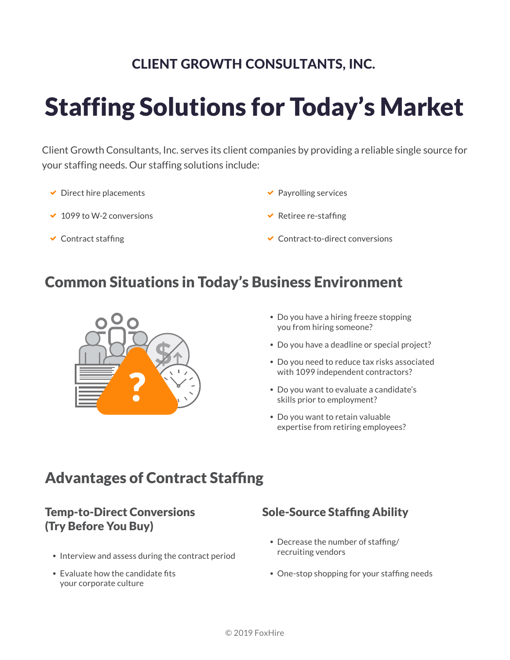### CLIENT GROWTH CONSULTANTS, INC.

# Staffing Solutions for Today's Market

Client Growth Consultants, Inc. serves its client companies by providing a reliable single source for your staffing needs. Our staffing solutions include:

- $\triangleright$  Direct hire placements
- $\times$  1099 to W-2 conversions
- $\checkmark$  Contract staffing
- $\blacktriangleright$  Payrolling services
- $\vee$  Retiree re-staffing
- $\triangleleft$  Contract-to-direct conversions

### Common Situations in Today's Business Environment



- Do you have a hiring freeze stopping you from hiring someone?
- Do you have a deadline or special project?
- Do you need to reduce tax risks associated with 1099 independent contractors?
- Do you want to evaluate a candidate's skills prior to employment?
- Do you want to retain valuable expertise from retiring employees?

## Advantages of Contract Staffing

#### Temp-to-Direct Conversions (Try Before You Buy)

- Interview and assess during the contract period
- Evaluate how the candidate fits your corporate culture

#### Sole-Source Staffing Ability

- Decrease the number of staffing/ recruiting vendors
- One-stop shopping for your staffing needs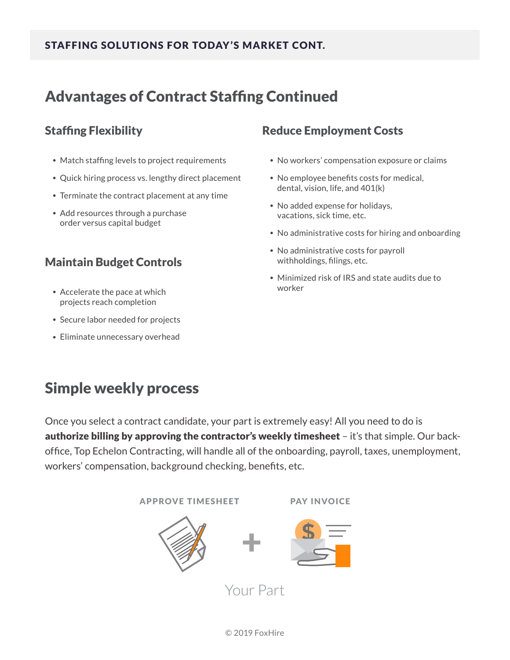#### STAFFING SOLUTIONS FOR TODAY 'S MARKET CONT.

### Advantages of Contract Staffing Continued

#### Staffing Flexibility

- Match staffing levels to project requirements
- Quick hiring process vs. lengthy direct placement
- Terminate the contract placement at any time
- Add resources through a purchase order versus capital budget

### Maintain Budget Controls

- Accelerate the pace at which projects reach completion
- Secure labor needed for projects
- Eliminate unnecessary overhead

#### Reduce Employment Costs

- No workers' compensation exposure or claims
- No employee benefits costs for medical, dental, vision, life, and 401(k)
- No added expense for holidays, vacations, sick time, etc.
- No administrative costs for hiring and onboarding
- No administrative costs for payroll withholdings, filings, etc.
- Minimized risk of IRS and state audits due to worker

## Simple weekly process

Once you select a contract candidate, your part is extremely easy! All you need to do is authorize billing by approving the contractor's weekly timesheet – it's that simple. Our backoffice, Top Echelon Contracting, will handle all of the onboarding, payroll, taxes, unemployment, workers' compensation, background checking, benefits, etc.

APPROVE TIMESHEET PAY INVOICE





Your Part

+

© 2019 FoxHire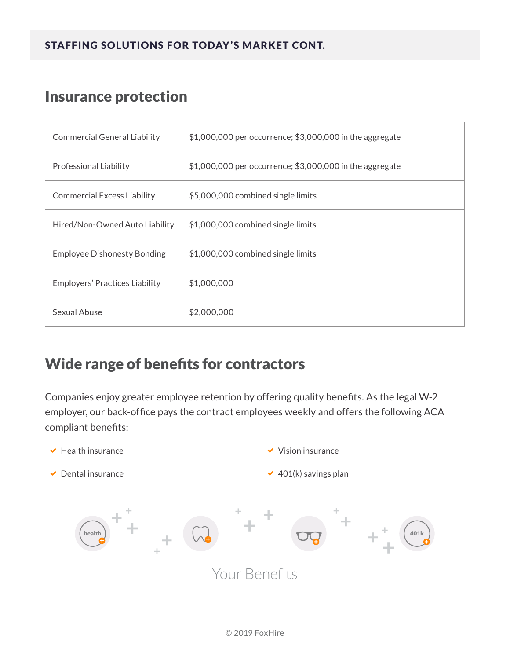## Insurance protection

| <b>Commercial General Liability</b> | \$1,000,000 per occurrence; \$3,000,000 in the aggregate |
|-------------------------------------|----------------------------------------------------------|
| Professional Liability              | \$1,000,000 per occurrence; \$3,000,000 in the aggregate |
| <b>Commercial Excess Liability</b>  | \$5,000,000 combined single limits                       |
| Hired/Non-Owned Auto Liability      | \$1,000,000 combined single limits                       |
| <b>Employee Dishonesty Bonding</b>  | \$1,000,000 combined single limits                       |
| Employers' Practices Liability      | \$1,000,000                                              |
| Sexual Abuse                        | \$2,000,000                                              |

## Wide range of benefits for contractors

Companies enjoy greater employee retention by offering quality benefits. As the legal W-2 employer, our back-office pays the contract employees weekly and offers the following ACA compliant benefits: